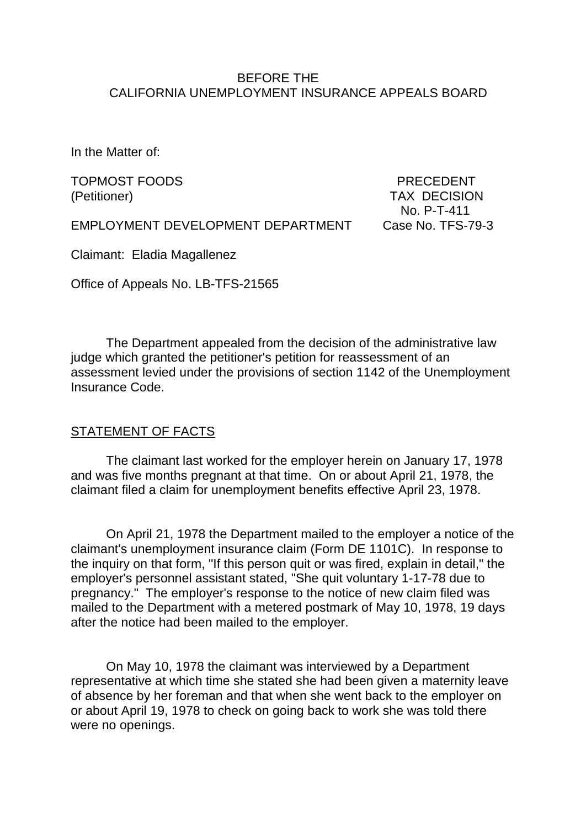#### BEFORE THE CALIFORNIA UNEMPLOYMENT INSURANCE APPEALS BOARD

In the Matter of:

TOPMOST FOODS PRECEDENT (Petitioner) TAX DECISION

No. P-T-411

EMPLOYMENT DEVELOPMENT DEPARTMENT Case No. TFS-79-3

Claimant: Eladia Magallenez

Office of Appeals No. LB-TFS-21565

The Department appealed from the decision of the administrative law judge which granted the petitioner's petition for reassessment of an assessment levied under the provisions of section 1142 of the Unemployment Insurance Code.

#### STATEMENT OF FACTS

The claimant last worked for the employer herein on January 17, 1978 and was five months pregnant at that time. On or about April 21, 1978, the claimant filed a claim for unemployment benefits effective April 23, 1978.

On April 21, 1978 the Department mailed to the employer a notice of the claimant's unemployment insurance claim (Form DE 1101C). In response to the inquiry on that form, "If this person quit or was fired, explain in detail," the employer's personnel assistant stated, "She quit voluntary 1-17-78 due to pregnancy." The employer's response to the notice of new claim filed was mailed to the Department with a metered postmark of May 10, 1978, 19 days after the notice had been mailed to the employer.

On May 10, 1978 the claimant was interviewed by a Department representative at which time she stated she had been given a maternity leave of absence by her foreman and that when she went back to the employer on or about April 19, 1978 to check on going back to work she was told there were no openings.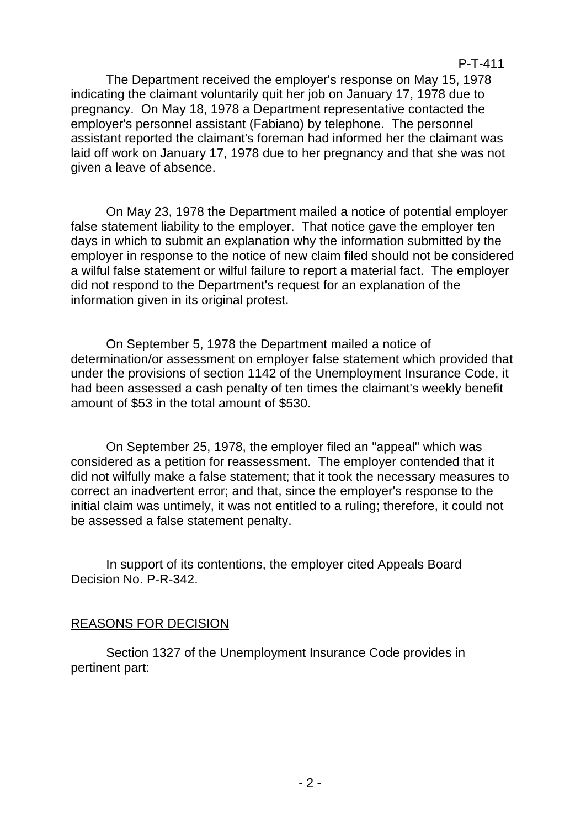The Department received the employer's response on May 15, 1978 indicating the claimant voluntarily quit her job on January 17, 1978 due to pregnancy. On May 18, 1978 a Department representative contacted the employer's personnel assistant (Fabiano) by telephone. The personnel assistant reported the claimant's foreman had informed her the claimant was laid off work on January 17, 1978 due to her pregnancy and that she was not given a leave of absence.

On May 23, 1978 the Department mailed a notice of potential employer false statement liability to the employer. That notice gave the employer ten days in which to submit an explanation why the information submitted by the employer in response to the notice of new claim filed should not be considered a wilful false statement or wilful failure to report a material fact. The employer did not respond to the Department's request for an explanation of the information given in its original protest.

On September 5, 1978 the Department mailed a notice of determination/or assessment on employer false statement which provided that under the provisions of section 1142 of the Unemployment Insurance Code, it had been assessed a cash penalty of ten times the claimant's weekly benefit amount of \$53 in the total amount of \$530.

On September 25, 1978, the employer filed an "appeal" which was considered as a petition for reassessment. The employer contended that it did not wilfully make a false statement; that it took the necessary measures to correct an inadvertent error; and that, since the employer's response to the initial claim was untimely, it was not entitled to a ruling; therefore, it could not be assessed a false statement penalty.

In support of its contentions, the employer cited Appeals Board Decision No. P-R-342.

## REASONS FOR DECISION

Section 1327 of the Unemployment Insurance Code provides in pertinent part: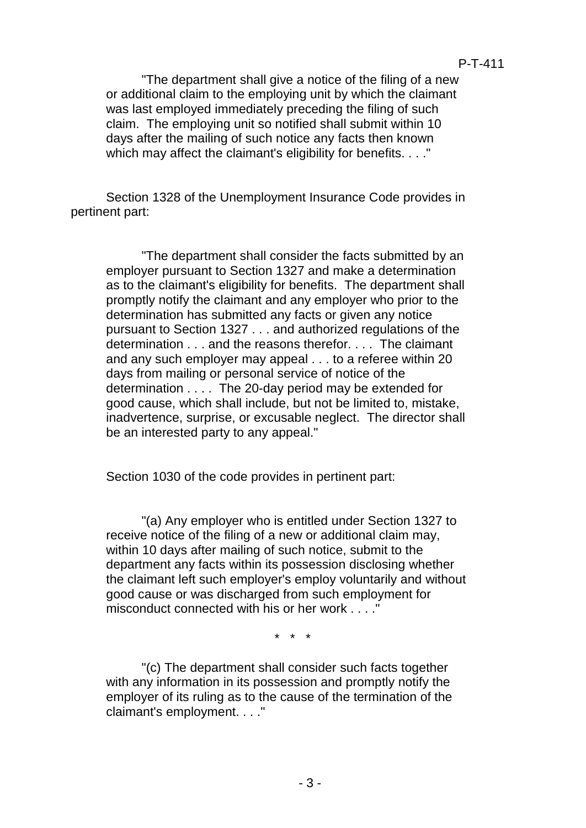#### P-T-411

"The department shall give a notice of the filing of a new or additional claim to the employing unit by which the claimant was last employed immediately preceding the filing of such claim. The employing unit so notified shall submit within 10 days after the mailing of such notice any facts then known which may affect the claimant's eligibility for benefits. . . ."

Section 1328 of the Unemployment Insurance Code provides in pertinent part:

"The department shall consider the facts submitted by an employer pursuant to Section 1327 and make a determination as to the claimant's eligibility for benefits. The department shall promptly notify the claimant and any employer who prior to the determination has submitted any facts or given any notice pursuant to Section 1327 . . . and authorized regulations of the determination . . . and the reasons therefor. . . . The claimant and any such employer may appeal . . . to a referee within 20 days from mailing or personal service of notice of the determination . . . . The 20-day period may be extended for good cause, which shall include, but not be limited to, mistake, inadvertence, surprise, or excusable neglect. The director shall be an interested party to any appeal."

Section 1030 of the code provides in pertinent part:

"(a) Any employer who is entitled under Section 1327 to receive notice of the filing of a new or additional claim may, within 10 days after mailing of such notice, submit to the department any facts within its possession disclosing whether the claimant left such employer's employ voluntarily and without good cause or was discharged from such employment for misconduct connected with his or her work . . . ."

\* \* \*

"(c) The department shall consider such facts together with any information in its possession and promptly notify the employer of its ruling as to the cause of the termination of the claimant's employment. . . ."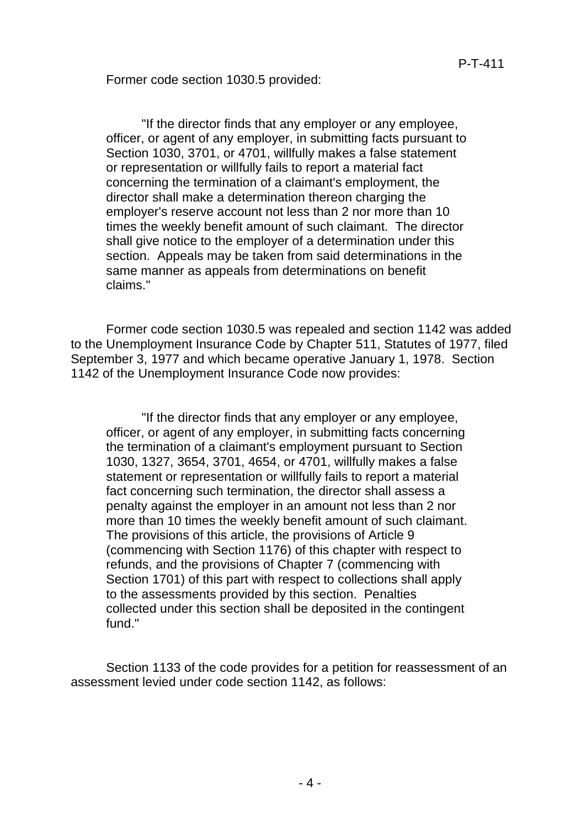Former code section 1030.5 provided:

"If the director finds that any employer or any employee, officer, or agent of any employer, in submitting facts pursuant to Section 1030, 3701, or 4701, willfully makes a false statement or representation or willfully fails to report a material fact concerning the termination of a claimant's employment, the director shall make a determination thereon charging the employer's reserve account not less than 2 nor more than 10 times the weekly benefit amount of such claimant. The director shall give notice to the employer of a determination under this section. Appeals may be taken from said determinations in the same manner as appeals from determinations on benefit claims."

Former code section 1030.5 was repealed and section 1142 was added to the Unemployment Insurance Code by Chapter 511, Statutes of 1977, filed September 3, 1977 and which became operative January 1, 1978. Section 1142 of the Unemployment Insurance Code now provides:

"If the director finds that any employer or any employee, officer, or agent of any employer, in submitting facts concerning the termination of a claimant's employment pursuant to Section 1030, 1327, 3654, 3701, 4654, or 4701, willfully makes a false statement or representation or willfully fails to report a material fact concerning such termination, the director shall assess a penalty against the employer in an amount not less than 2 nor more than 10 times the weekly benefit amount of such claimant. The provisions of this article, the provisions of Article 9 (commencing with Section 1176) of this chapter with respect to refunds, and the provisions of Chapter 7 (commencing with Section 1701) of this part with respect to collections shall apply to the assessments provided by this section. Penalties collected under this section shall be deposited in the contingent fund."

Section 1133 of the code provides for a petition for reassessment of an assessment levied under code section 1142, as follows: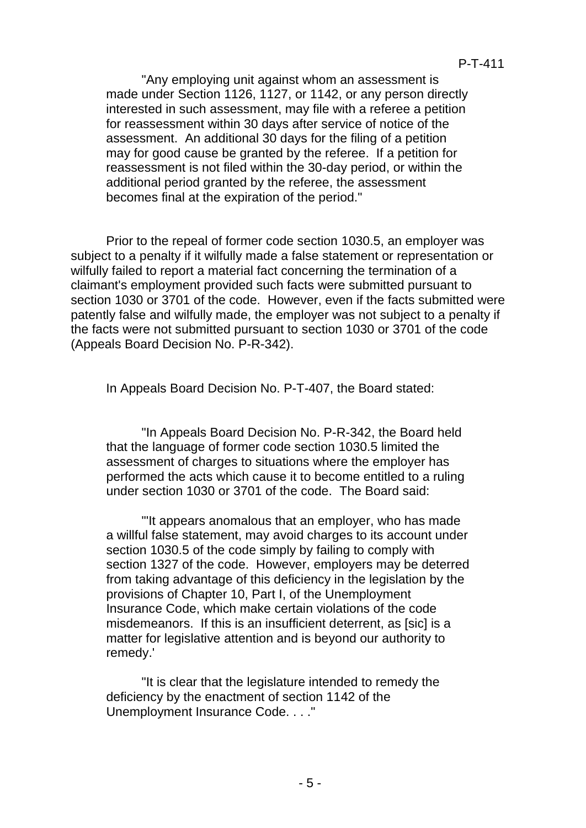"Any employing unit against whom an assessment is made under Section 1126, 1127, or 1142, or any person directly interested in such assessment, may file with a referee a petition for reassessment within 30 days after service of notice of the assessment. An additional 30 days for the filing of a petition may for good cause be granted by the referee. If a petition for reassessment is not filed within the 30-day period, or within the additional period granted by the referee, the assessment becomes final at the expiration of the period."

Prior to the repeal of former code section 1030.5, an employer was subject to a penalty if it wilfully made a false statement or representation or wilfully failed to report a material fact concerning the termination of a claimant's employment provided such facts were submitted pursuant to section 1030 or 3701 of the code. However, even if the facts submitted were patently false and wilfully made, the employer was not subject to a penalty if the facts were not submitted pursuant to section 1030 or 3701 of the code (Appeals Board Decision No. P-R-342).

In Appeals Board Decision No. P-T-407, the Board stated:

"In Appeals Board Decision No. P-R-342, the Board held that the language of former code section 1030.5 limited the assessment of charges to situations where the employer has performed the acts which cause it to become entitled to a ruling under section 1030 or 3701 of the code. The Board said:

"'It appears anomalous that an employer, who has made a willful false statement, may avoid charges to its account under section 1030.5 of the code simply by failing to comply with section 1327 of the code. However, employers may be deterred from taking advantage of this deficiency in the legislation by the provisions of Chapter 10, Part I, of the Unemployment Insurance Code, which make certain violations of the code misdemeanors. If this is an insufficient deterrent, as [sic] is a matter for legislative attention and is beyond our authority to remedy.'

"It is clear that the legislature intended to remedy the deficiency by the enactment of section 1142 of the Unemployment Insurance Code. . . ."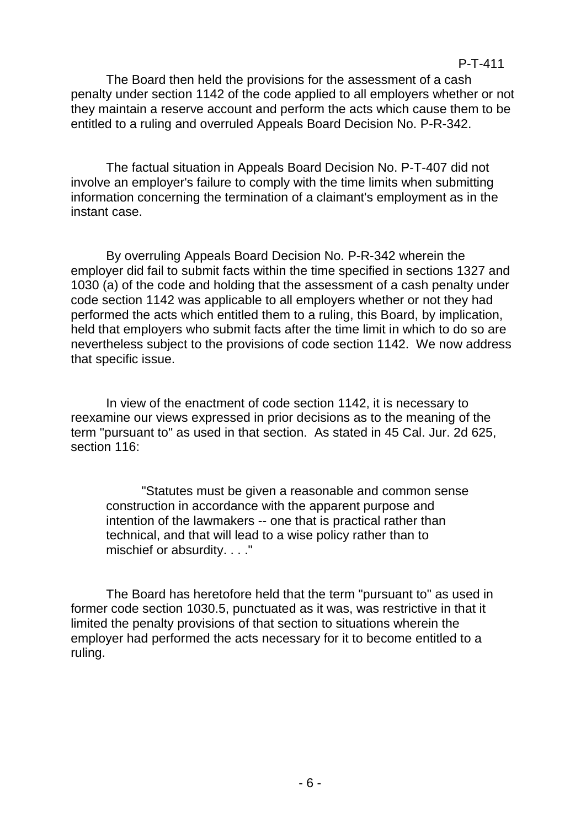#### P-T-411

The Board then held the provisions for the assessment of a cash penalty under section 1142 of the code applied to all employers whether or not they maintain a reserve account and perform the acts which cause them to be entitled to a ruling and overruled Appeals Board Decision No. P-R-342.

The factual situation in Appeals Board Decision No. P-T-407 did not involve an employer's failure to comply with the time limits when submitting information concerning the termination of a claimant's employment as in the instant case.

By overruling Appeals Board Decision No. P-R-342 wherein the employer did fail to submit facts within the time specified in sections 1327 and 1030 (a) of the code and holding that the assessment of a cash penalty under code section 1142 was applicable to all employers whether or not they had performed the acts which entitled them to a ruling, this Board, by implication, held that employers who submit facts after the time limit in which to do so are nevertheless subject to the provisions of code section 1142. We now address that specific issue.

In view of the enactment of code section 1142, it is necessary to reexamine our views expressed in prior decisions as to the meaning of the term "pursuant to" as used in that section. As stated in 45 Cal. Jur. 2d 625, section 116:

"Statutes must be given a reasonable and common sense construction in accordance with the apparent purpose and intention of the lawmakers -- one that is practical rather than technical, and that will lead to a wise policy rather than to mischief or absurdity. . . ."

The Board has heretofore held that the term "pursuant to" as used in former code section 1030.5, punctuated as it was, was restrictive in that it limited the penalty provisions of that section to situations wherein the employer had performed the acts necessary for it to become entitled to a ruling.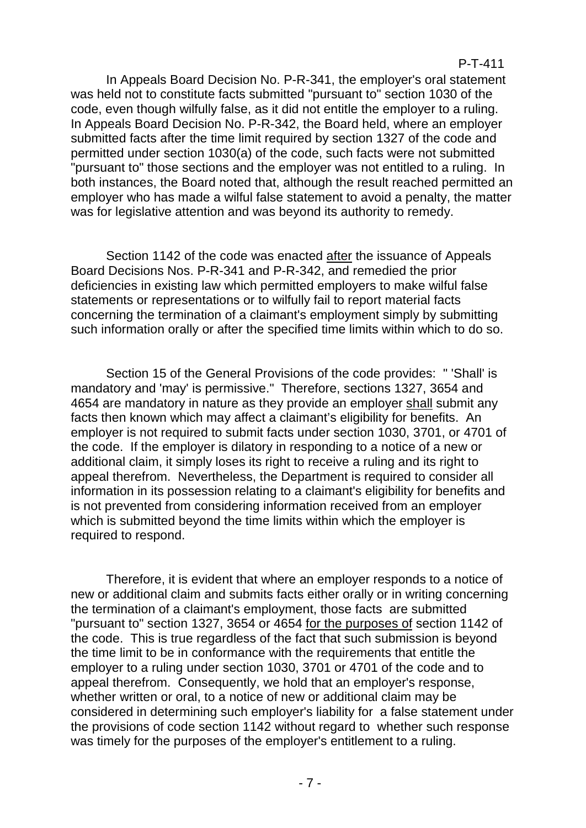#### P-T-411

In Appeals Board Decision No. P-R-341, the employer's oral statement was held not to constitute facts submitted "pursuant to" section 1030 of the code, even though wilfully false, as it did not entitle the employer to a ruling. In Appeals Board Decision No. P-R-342, the Board held, where an employer submitted facts after the time limit required by section 1327 of the code and permitted under section 1030(a) of the code, such facts were not submitted "pursuant to" those sections and the employer was not entitled to a ruling. In both instances, the Board noted that, although the result reached permitted an employer who has made a wilful false statement to avoid a penalty, the matter was for legislative attention and was beyond its authority to remedy.

Section 1142 of the code was enacted after the issuance of Appeals Board Decisions Nos. P-R-341 and P-R-342, and remedied the prior deficiencies in existing law which permitted employers to make wilful false statements or representations or to wilfully fail to report material facts concerning the termination of a claimant's employment simply by submitting such information orally or after the specified time limits within which to do so.

Section 15 of the General Provisions of the code provides: " 'Shall' is mandatory and 'may' is permissive." Therefore, sections 1327, 3654 and 4654 are mandatory in nature as they provide an employer shall submit any facts then known which may affect a claimant's eligibility for benefits. An employer is not required to submit facts under section 1030, 3701, or 4701 of the code. If the employer is dilatory in responding to a notice of a new or additional claim, it simply loses its right to receive a ruling and its right to appeal therefrom. Nevertheless, the Department is required to consider all information in its possession relating to a claimant's eligibility for benefits and is not prevented from considering information received from an employer which is submitted beyond the time limits within which the employer is required to respond.

Therefore, it is evident that where an employer responds to a notice of new or additional claim and submits facts either orally or in writing concerning the termination of a claimant's employment, those facts are submitted "pursuant to" section 1327, 3654 or 4654 for the purposes of section 1142 of the code. This is true regardless of the fact that such submission is beyond the time limit to be in conformance with the requirements that entitle the employer to a ruling under section 1030, 3701 or 4701 of the code and to appeal therefrom. Consequently, we hold that an employer's response, whether written or oral, to a notice of new or additional claim may be considered in determining such employer's liability for a false statement under the provisions of code section 1142 without regard to whether such response was timely for the purposes of the employer's entitlement to a ruling.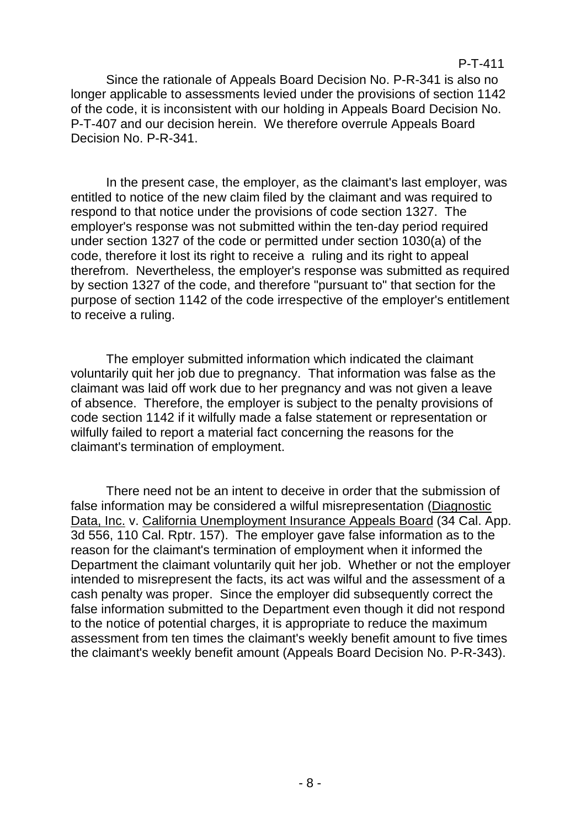Since the rationale of Appeals Board Decision No. P-R-341 is also no longer applicable to assessments levied under the provisions of section 1142 of the code, it is inconsistent with our holding in Appeals Board Decision No. P-T-407 and our decision herein. We therefore overrule Appeals Board Decision No. P-R-341.

In the present case, the employer, as the claimant's last employer, was entitled to notice of the new claim filed by the claimant and was required to respond to that notice under the provisions of code section 1327. The employer's response was not submitted within the ten-day period required under section 1327 of the code or permitted under section 1030(a) of the code, therefore it lost its right to receive a ruling and its right to appeal therefrom. Nevertheless, the employer's response was submitted as required by section 1327 of the code, and therefore "pursuant to" that section for the purpose of section 1142 of the code irrespective of the employer's entitlement to receive a ruling.

The employer submitted information which indicated the claimant voluntarily quit her job due to pregnancy. That information was false as the claimant was laid off work due to her pregnancy and was not given a leave of absence. Therefore, the employer is subject to the penalty provisions of code section 1142 if it wilfully made a false statement or representation or wilfully failed to report a material fact concerning the reasons for the claimant's termination of employment.

There need not be an intent to deceive in order that the submission of false information may be considered a wilful misrepresentation (Diagnostic Data, Inc. v. California Unemployment Insurance Appeals Board (34 Cal. App. 3d 556, 110 Cal. Rptr. 157). The employer gave false information as to the reason for the claimant's termination of employment when it informed the Department the claimant voluntarily quit her job. Whether or not the employer intended to misrepresent the facts, its act was wilful and the assessment of a cash penalty was proper. Since the employer did subsequently correct the false information submitted to the Department even though it did not respond to the notice of potential charges, it is appropriate to reduce the maximum assessment from ten times the claimant's weekly benefit amount to five times the claimant's weekly benefit amount (Appeals Board Decision No. P-R-343).